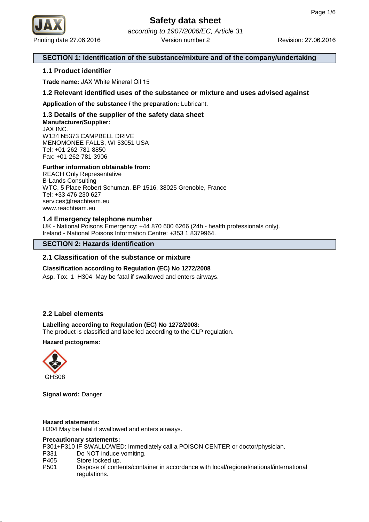

Printing date 27.06.2016 **Revision: 27.06.2016** Revision: 27.06.2016 according to 1907/2006/EC, Article 31 Version number 2

# **SECTION 1: Identification of the substance/mixture and of the company/undertaking**

# **1.1 Product identifier**

**Trade name:** JAX White Mineral Oil 15

**1.2 Relevant identified uses of the substance or mixture and uses advised against**

**Application of the substance / the preparation:** Lubricant.

# **1.3 Details of the supplier of the safety data sheet Manufacturer/Supplier:** JAX INC.

W134 N5373 CAMPBELL DRIVE MENOMONEE FALLS, WI 53051 USA Tel: +01-262-781-8850 Fax: +01-262-781-3906

# **Further information obtainable from:**

REACH Only Representative B-Lands Consulting WTC, 5 Place Robert Schuman, BP 1516, 38025 Grenoble, France Tel: +33 476 230 627 services@reachteam.eu www.reachteam.eu

# **1.4 Emergency telephone number**

UK - National Poisons Emergency: +44 870 600 6266 (24h - health professionals only). Ireland - National Poisons Information Centre: +353 1 8379964.

# **SECTION 2: Hazards identification**

# **2.1 Classification of the substance or mixture**

#### **Classification according to Regulation (EC) No 1272/2008**

Asp. Tox. 1 H304 May be fatal if swallowed and enters airways.

# **2.2 Label elements**

# **Labelling according to Regulation (EC) No 1272/2008:**

The product is classified and labelled according to the CLP regulation.

# **Hazard pictograms:**



**Signal word:** Danger

#### **Hazard statements:**

H304 May be fatal if swallowed and enters airways.

#### **Precautionary statements:**

P301+P310 IF SWALLOWED: Immediately call a POISON CENTER or doctor/physician.

- P331 Do NOT induce vomiting.
- P405 Store locked up.
- P501 Dispose of contents/container in accordance with local/regional/national/international regulations.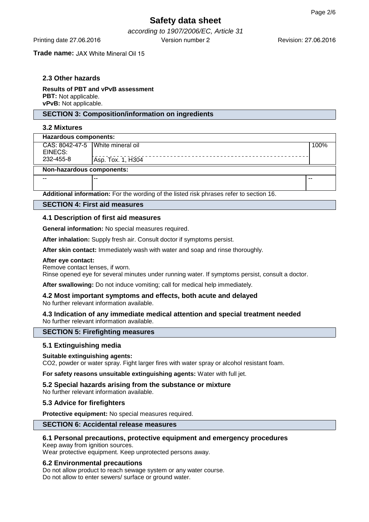according to 1907/2006/EC, Article 31 Printing date 27.06.2016 Version number 2

**Trade name:** JAX White Mineral Oil 15

# **2.3 Other hazards**

**Results of PBT and vPvB assessment PBT:** Not applicable. **vPvB:** Not applicable.

# **SECTION 3: Composition/information on ingredients**

# **3.2 Mixtures**

| Hazardous components:              |                   |      |  |
|------------------------------------|-------------------|------|--|
| CAS: 8042-47-5   White mineral oil |                   | 100% |  |
| EINECS:                            |                   |      |  |
| 232-455-8                          | Asp. Tox. 1, H304 |      |  |
| Non-hazardous components:          |                   |      |  |
| $- -$                              |                   | --   |  |
|                                    |                   |      |  |

**Additional information:** For the wording of the listed risk phrases refer to section 16.

#### **SECTION 4: First aid measures**

#### **4.1 Description of first aid measures**

**General information:** No special measures required.

**After inhalation:** Supply fresh air. Consult doctor if symptoms persist.

**After skin contact:** Immediately wash with water and soap and rinse thoroughly.

#### **After eye contact:**

Remove contact lenses, if worn.

Rinse opened eye for several minutes under running water. If symptoms persist, consult a doctor.

**After swallowing:** Do not induce vomiting; call for medical help immediately.

#### **4.2 Most important symptoms and effects, both acute and delayed** No further relevant information available.

#### **4.3 Indication of any immediate medical attention and special treatment needed** No further relevant information available.

#### **SECTION 5: Firefighting measures**

#### **5.1 Extinguishing media**

#### **Suitable extinguishing agents:**

CO2, powder or water spray. Fight larger fires with water spray or alcohol resistant foam.

**For safety reasons unsuitable extinguishing agents:** Water with full jet.

**5.2 Special hazards arising from the substance or mixture** No further relevant information available.

# **5.3 Advice for firefighters**

**Protective equipment:** No special measures required.

## **SECTION 6: Accidental release measures**

### **6.1 Personal precautions, protective equipment and emergency procedures**

Keep away from ignition sources. Wear protective equipment. Keep unprotected persons away.

#### **6.2 Environmental precautions**

Do not allow product to reach sewage system or any water course. Do not allow to enter sewers/ surface or ground water.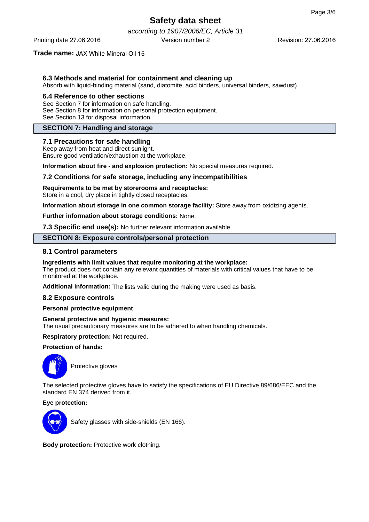according to 1907/2006/EC, Article 31 Printing date 27.06.2016 Version number 2

Revision: 27.06.2016

# **Trade name:** JAX White Mineral Oil 15

# **6.3 Methods and material for containment and cleaning up**

Absorb with liquid-binding material (sand, diatomite, acid binders, universal binders, sawdust).

#### **6.4 Reference to other sections**

See Section 7 for information on safe handling. See Section 8 for information on personal protection equipment. See Section 13 for disposal information.

# **SECTION 7: Handling and storage**

#### **7.1 Precautions for safe handling**

Keep away from heat and direct sunlight. Ensure good ventilation/exhaustion at the workplace.

**Information about fire - and explosion protection:** No special measures required.

# **7.2 Conditions for safe storage, including any incompatibilities**

# **Requirements to be met by storerooms and receptacles:**

Store in a cool, dry place in tightly closed receptacles.

**Information about storage in one common storage facility:** Store away from oxidizing agents.

**Further information about storage conditions:** None.

**7.3 Specific end use(s):** No further relevant information available.

#### **SECTION 8: Exposure controls/personal protection**

#### **8.1 Control parameters**

#### **Ingredients with limit values that require monitoring at the workplace:**

The product does not contain any relevant quantities of materials with critical values that have to be monitored at the workplace.

**Additional information:** The lists valid during the making were used as basis.

#### **8.2 Exposure controls**

#### **Personal protective equipment**

# **General protective and hygienic measures:**

The usual precautionary measures are to be adhered to when handling chemicals.

**Respiratory protection:** Not required.

#### **Protection of hands:**



Protective gloves

The selected protective gloves have to satisfy the specifications of EU Directive 89/686/EEC and the standard EN 374 derived from it.

# **Eye protection:**



Safety glasses with side-shields (EN 166).

**Body protection:** Protective work clothing.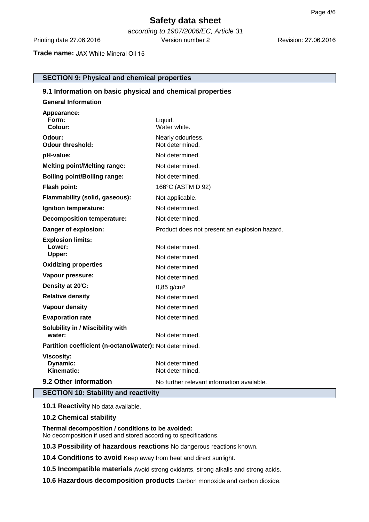according to 1907/2006/EC, Article 31 Printing date 27.06.2016 Version number 2

# **Trade name:** JAX White Mineral Oil 15

**SECTION 9: Physical and chemical properties**

| 9.1 Information on basic physical and chemical properties |                                               |  |  |  |
|-----------------------------------------------------------|-----------------------------------------------|--|--|--|
| <b>General Information</b>                                |                                               |  |  |  |
| Appearance:<br>Form:<br>Colour:                           | Liquid.<br>Water white.                       |  |  |  |
| Odour:<br><b>Odour threshold:</b>                         | Nearly odourless.<br>Not determined.          |  |  |  |
| pH-value:                                                 | Not determined.                               |  |  |  |
| <b>Melting point/Melting range:</b>                       | Not determined.                               |  |  |  |
| <b>Boiling point/Boiling range:</b>                       | Not determined.                               |  |  |  |
| Flash point:                                              | 166°C (ASTM D 92)                             |  |  |  |
| Flammability (solid, gaseous):                            | Not applicable.                               |  |  |  |
| Ignition temperature:                                     | Not determined.                               |  |  |  |
| <b>Decomposition temperature:</b>                         | Not determined.                               |  |  |  |
| Danger of explosion:                                      | Product does not present an explosion hazard. |  |  |  |
| <b>Explosion limits:</b><br>Lower:<br>Upper:              | Not determined.<br>Not determined.            |  |  |  |
| <b>Oxidizing properties</b>                               | Not determined.                               |  |  |  |
| Vapour pressure:                                          | Not determined.                               |  |  |  |
| Density at 20°C:                                          | $0,85$ g/cm <sup>3</sup>                      |  |  |  |
| <b>Relative density</b>                                   | Not determined.                               |  |  |  |
| <b>Vapour density</b>                                     | Not determined.                               |  |  |  |
| <b>Evaporation rate</b>                                   | Not determined.                               |  |  |  |
| Solubility in / Miscibility with<br>water:                | Not determined.                               |  |  |  |
| Partition coefficient (n-octanol/water): Not determined.  |                                               |  |  |  |
| <b>Viscosity:</b><br>Dynamic:<br>Kinematic:               | Not determined.<br>Not determined.            |  |  |  |
| 9.2 Other information                                     | No further relevant information available.    |  |  |  |
| <b>SECTION 10: Stability and reactivity</b>               |                                               |  |  |  |

**10.1 Reactivity** No data available.

# **10.2 Chemical stability**

**Thermal decomposition / conditions to be avoided:** No decomposition if used and stored according to specifications.

**10.3 Possibility of hazardous reactions** No dangerous reactions known.

**10.4 Conditions to avoid** Keep away from heat and direct sunlight.

**10.5 Incompatible materials** Avoid strong oxidants, strong alkalis and strong acids.

**10.6 Hazardous decomposition products** Carbon monoxide and carbon dioxide.

Revision: 27.06.2016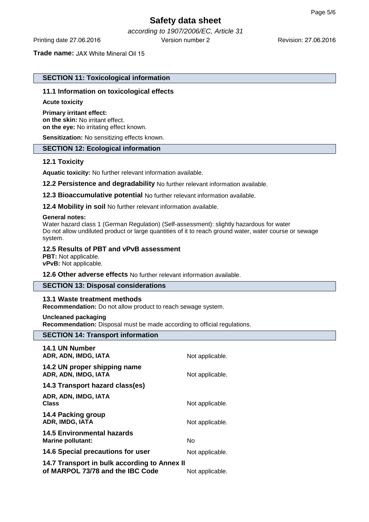according to 1907/2006/EC, Article 31 Printing date 27.06.2016 Version number 2

#### **Trade name:** JAX White Mineral Oil 15

# **SECTION 11: Toxicological information**

### **11.1 Information on toxicological effects**

#### **Acute toxicity**

#### **Primary irritant effect: on the skin:** No irritant effect. **on the eye:** No irritating effect known.

**Sensitization:** No sensitizing effects known.

# **SECTION 12: Ecological information**

# **12.1 Toxicity**

**Aquatic toxicity:** No further relevant information available.

**12.2 Persistence and degradability** No further relevant information available.

**12.3 Bioaccumulative potential** No further relevant information available.

**12.4 Mobility in soil** No further relevant information available.

#### **General notes:**

Water hazard class 1 (German Regulation) (Self-assessment): slightly hazardous for water Do not allow undiluted product or large quantities of it to reach ground water, water course or sewage system.

### **12.5 Results of PBT and vPvB assessment**

**PBT:** Not applicable. **vPvB:** Not applicable.

#### **12.6 Other adverse effects** No further relevant information available.

#### **SECTION 13: Disposal considerations**

#### **13.1 Waste treatment methods**

**Recommendation:** Do not allow product to reach sewage system.

**Uncleaned packaging**

**Recommendation:** Disposal must be made according to official regulations.

# **SECTION 14: Transport information**

| 14.1 UN Number<br>ADR, ADN, IMDG, IATA                                           | Not applicable. |
|----------------------------------------------------------------------------------|-----------------|
| 14.2 UN proper shipping name<br>ADR, ADN, IMDG, IATA                             | Not applicable. |
| 14.3 Transport hazard class(es)                                                  |                 |
| ADR, ADN, IMDG, IATA<br>Class                                                    | Not applicable. |
| 14.4 Packing group<br>ADR, IMDG, IATA                                            | Not applicable. |
| <b>14.5 Environmental hazards</b><br><b>Marine pollutant:</b>                    | No              |
| 14.6 Special precautions for user                                                | Not applicable. |
| 14.7 Transport in bulk according to Annex II<br>of MARPOL 73/78 and the IBC Code | Not applicable. |